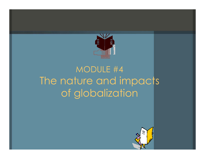

## MODULE #4 The nature and impacts of globalization

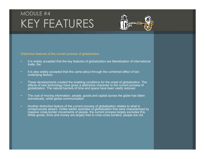## MODULE #4KEY FEATURES



Distinctive features of the current process of globalization

- It is widely accepted that the key features of globalization are liberalization of international trade, the
- It is also widely accepted that this came about through the combined effect of two underlying factors:
- These developments created the enabling conditions for the onset of globalization. The effects of new technology have given a distinctive character to the current process of globalization. The natural barriers of time and space have been vastly reduced.
- The cost of moving information, people, goods and capital across the globe has fallen dramatically, while global communication
- Another distinctive feature of the current process of globalization relates to what is conspicuously absent. Unlike earlier episodes of globalization that were characterized by massive cross-border movements of people, the current process largely excludes this. While goods, firms and money are largely free to criss-cross borders, people are not.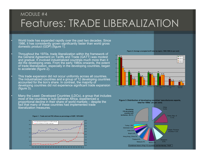### MODULE #4Features: TRADE LIBERALIZATION

 World trade has expanded rapidly over the past two decades. Since 1986, it has consistently grown significantly faster than world gross domestic product (GDP) (figure 1).

•

•

•

•

 Throughout the 1970s, trade liberalization within the framework of the General Agreement on Tariffs and Trade (GATT) was modest and gradual. It involved industrialized countries much more than it did the developing ones. From the early 1980s onwards, the extent of trade liberalization, especially in the developing countries, began to accelerate (figure  $2$ ).

 This trade expansion did not occur uniformly across all countries. The industrialized countries and a group of 12 developing countries accounted for the lion's share. In contrast, the majority of developing countries did not experience significant trade expansion  $(figure 3)$ .

 Many the Least- Developed Countries (LDCs), a group that includes most of the countries in sub-Saharan Africa, experienced a proportional decline in their share of world markets – despite the fact that many of these countries had implemented trade liberalization measures.

#### **Figure 1 : Trade and net FDI inflows as percentage of GDP, 1970-2001**



**Figure 2: Average unweigted tariff rates by region, 1980-1998 (in per cent)**



**Figure 3: Distribution of developing countries' manufactures exports, total for 1990s (in per cent)**

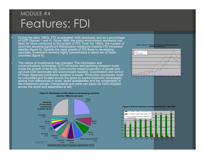## MODULE #4 Features: FDI

•

•

 During the early 1980s, FDI accelerated, both absolutely and as a percentage of GDP (figures 1 and 4). Since 1980, the policy environment worldwide has been far more conducive to the growth of FDI. Over the 1990s, the number of countries adopting significant liberalization measures towards FDI increased steadily (figure 5). Despite the rapid growth of FDI flows to developing countries, investment remains highly concentrated in about ten of these countries (figure 6).

 The nature of investments has changed. The information and communications technology (ICT) revolution and declining transport costs made the growth of far-flung, multi-country based production of goods and services both technically and economically feasible. Coordination and control of these dispersed production systems is easier. Production processes could be unbundled and located across the globe to exploit economic advantages arising from differences in costs, factor availabilities and the congeniality of the investment climate. Components and parts can easily be trans-shipped across the world and assembled at will.









#### **Figure 5: National regulatory changes towards FDI, 1991-2000**

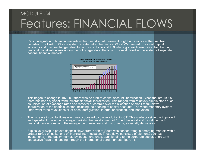## MODULE #4Features: FINANCIAL FLOWS

 Rapid integration of financial markets is the most dramatic element of globalization over the past two decades. The Bretton Woods system, created after the Second World War, rested on closed capital accounts and fixed exchange rates. In contrast to trade and FDI where gradual liberalization had begun, financial globalization was not on the policy agenda at the time. The world lived with a system of separate national financial markets.



- This began to change in 1973 but there was no rush to capital account liberalization. Since the late 1980s there has been a global trend towards financial liberalization. This ranged from relatively simple steps such as unification of exchange rates and removal of controls over the allocation of credit to full-blown liberalization of the financial sector, including the opening of capital accounts. The world monetary system underwent three revolutions all at once: deregulation, internationalization, and innovation.
- The increase in capital flows was greatly boosted by the revolution in ICT. This made possible the improved and speedier knowledge of foreign markets, the development of "round the world and round the clock" financial transactions, and the emergence of new financial instruments, especially derivatives.
- Explosive growth in private financial flows from North to South was concentrated in emerging markets with a greater range of institutions of financial intermediation. These flows consisted of elements such as investments in the equity markets by investment funds, bank lending to the corporate sector, short-term speculative flows and lending through the international bond markets (figure 7).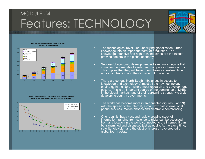## MODULE #4 Features: TECHNOLOGY

•



#### **Figure 8: Estimates of Internet access, 1997-2002 (millions of Internet users)**



**Figure9: Cost of Telephone Calls from the US to Selected Countries, 1960-2003 (in constant 1995 US\$ per 3 minutes, peak rate)**



- The technological revolution underlying globalization turned knowledge into an important factor of production. The knowledge-intensive and high-tech industries are the fastest growing sectors in the global economy.
- • Successful economic development will eventually require that countries become able to enter and compete in these sectors. This implies that they will have to emphasize investments in education, training and the diffusion of knowledge.
- • There are serious North-South imbalances in access to knowledge and technology. Almost all the new technology originates in the North, where most research and development occurs. This is an important source of the dominance of MNEs in the global markets, and of their bargaining strength vis-à-vis developing country governments.
- The world has become more interconnected (figures 8 and 9) with the spread of the Internet, e-mail, low cost international phone services, mobile phones and electronic conferencing.
- One result is that a vast and rapidly growing stock of information, ranging from science to trivia, can be accessed from any location in the world connected to the Internet. It can be transmitted and discussed just as easily. At the same time, satellite television and the electronic press have created a global fourth estate.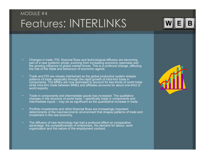## MODULE #4Features: INTERLINKS



- • Changes in trade, FDI, financial flows and technological diffusion are becoming part of a new systemic whole, evolving from increasing economic openness and the growing influence of global market forces. This is a profound change, affecting the role of the State and behaviour of economic agents.
- Trade and FDI are closely intertwined as the global production system shapes patterns of trade, especially through the rapid growth of intra-firm trade in components. The MNEs are now estimated to account for two-thirds of world trade while intra-firm trade between MNEs and affiliates accounts for about one-third of world exports.
- Trade in components and intermediate goods has increased. The qualitative changes in the structure of world trade – specifically trade in components and intermediate inputs – may be as significant as the quantitative increase in trade.
- Portfolio investments and other financial flows are increasingly important determinants of the macroeconomic environment that shapes patterns of trade and investment in the real economy.
- The diffusion of new technology has had a profound effect on comparative advantage, the competitiveness of enterprises, the demand for labour, work organization and the nature of the employment contract.

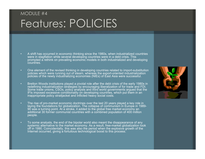## MODULE #4Features: POLICIES

- • A shift has occurred in economic thinking since the 1980s, when industrialized countries were in stagflation while several developing countries were in a debt crisis. This prompted a rethink on prevailing economic models in both industrialized and developing countries.
- One element of the revised thinking in developing countries related to import-substitution policies which were running out of steam, whereas the export-oriented industrialization policies of the newly industrializing economies (NIEs) of East Asia were successful.
- Bretton Woods institutions played a pivotal role after the debt crisis of the early 1980s in redefining industrialization strategies by encouraging liberalization of for trade and FDI. Some trade unions, CSOs, policy analysts and third world governments argued that the IFIs imposed excessive conditionality on developing countries, which put them in an inappropriate policy straitjacket and inflicted heavy social costs.
- The rise of pro-market economic doctrines over the last 20 years played a key role in laying the foundations for globalization. The collapse of communism in Europe in 1989-90 was a turning point. At a stroke, it added to the global free market economy an additional 30 former communist countries with a combined population of 400 million people.
- To some analysts, the end of the bipolar world also meant the disappearance of any systemic alternative to the market economy. As a result, free-market globalization took off in 1990. Coincidentally, this was also the period when the explosive growth of the Internet occurred, giving a fortuitous technological boost to this process.

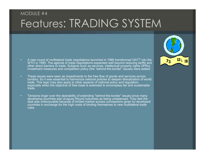## MODULE #4Features: TRADING SYSTEM

- A new round of multilateral trade negotiations launched in 1986 transformed GATT into the WTO in 1995. The agenda of trade negotiations expanded well beyond reducing tariffs and other direct barriers to trade. Subjects such as services, intellectual property rights (IPRs), investment measures and competition policy (the "behind-the-border" issues) were added.
- These issues were seen as impediments to the free flow of goods and services across borders. So it was essential to harmonize national policies to deepen liberalization of world trade. This logic may also apply to other aspects of national policy and regulation, especially when the objective of free trade is extended to encompass fair and sustainable trade.
- Tensions linger over the desirability of extending "behind-the-border" issues since many developing countries see Uruguay Round outcomes as being unbalanced. They feel the deal was unfavourable because of limited market access concessions given by developed countries in exchange for the high costs of binding themselves to new multilateral trade rules.

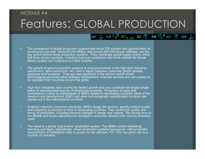### MODULE #4

## Features: GLOBAL PRODUCTION

GDF  $^{+}_{.15}$  HJK  $^{1.25}$  RTY<sub>1.23</sub> IDP  $^{05}$ 

BNM  $\frac{12.0}{4}$  XEV  $\frac{.20}{4}$ 

 $^{+65}_{-65}$ 

QEW

- • The emergence of global production systems that drove FDI created new opportunities for developing countries. Some 65,000 MNEs, with around 850,000 foreign affiliates, are the key actors behind these production systems. They coordinate global supply chains which link firms across countries, including local sub-contractors who work outside the formal factory system and outsource to home workers.
- The growth of global production systems is most pronounced in the high-tech industries (electronics, semi-conductors, etc.) and in labour intensive consumer goods (textiles, garments and footwear). They are also significant in the service sector where technological advances allow software development, financial services and call centres to be operated from countries around the globe.
- High-tech industries have scored the fastest growth and now constitute the largest single share of manufactured exports of developing countries. Production of parts and components is done by subsidiaries of MNEs located in developing countries. Most of the research and development (R&D) and other technologically sophisticated functions are carried out in the industrialized countries.
- In labour-intensive consumer industries, MNEs design the product, specify product quality and outsource production to firms in developing countries. They control the quality and timing of production, including frequent changes in design and volume. The driving force is the flexible and timely adjustment to changes in consumer demand with minimal inventory costs.
- The result is a global "just-in-time" production system. The MNEs control marketing, branding and logos. Interestingly, these production systems have grown without parallel development of multilateral rules to govern its key element, FDI. This has given rise to a number of concerns.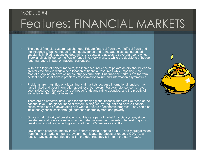### MODULE #4

# Features: FINANCIAL MARKETS

- • The global financial system has changed. Private financial flows dwarf official flows and the influence of banks, hedge funds, equity funds and rating agencies has increased substantially. Rating agencies determine the costs and access to sovereign borrowing. Stock analysts influence the flow of funds into stock markets while the decisions of hedge fund managers impact on national currencies.
- • Within the logic of perfect markets, the increased influence of private actors should lead to greater efficiency in worldwide allocation of financial resources while imposing more market discipline on developing country governments. But financial markets are far from perfect because of severe problems of information failure and information asymmetries.
- • Problems are magnified on global financial markets because international lenders may have limited and poor information about local borrowers. For example, concerns have been raised over the operations of hedge funds and rating agencies, and the probity of some large international investors,
- There are no effective institutions for supervising global financial markets like those at the national level. The global financial system is plagued by frequent and severe financial crises, which can be devastating and wipe out years of economic progress. They can also inflict heavy social costs through increased unemployment and poverty.
- Only a small minority of developing countries are part of global financial system, since private financial flows are usually concentrated in emerging markets. The vast majority of developing countries, including almost all the LDCs, receive very little.
- Low-income countries, mostly in sub-Saharan Africa, depend on aid. Their marginalization from financial markets means they can not mitigate the effects of reduced ODA. As a result, many such countries are still in the debt trap they fell into in the early 1980s.

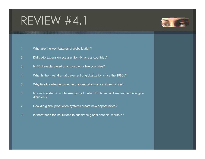# REVIEW #4.1



- What are the key features of globalizati on?
- 2.Did trade expansion occur uniformly across countri es?
- 3.Is FDI broadly-based or focused on a few countries?
- 4.What is the most dramatic element of globalization since the 1980s?
- 5.Why has knowledge turned into an important factor of production?
- 6.. Is a new systemic whole emerging of trade, FDI, financial flows and technological diffusion ?
- 7.. How did global production systems create new opportunities?
- 8.. Is there need for institutions to supervise global financial markets?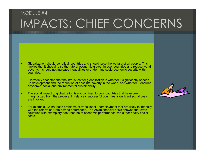## MODULE #4IMPACTS: CHIEF CONCERNS

- • Globalization should benefit all countries and should raise the welfare of all people. This implies that it should raise the rate of economic growth in poor countries and reduce world poverty. It should not increase inequalities or undermine socio-economic security within countries.
- • It is widely accepted that the litmus test for globalization is whether it significantly speeds up development and the reduction of absolute poverty in the world, and whether it ensures economic, social and environmental sustainability.
- • The social impact of globalization is not confined to poor countries that have been marginalized from the process. In relatively successful countries, significant social costs are involved.
- • For example, China faces problems of transitional unemployment that are likely to intensify with the reform of State-owned enterprises. The Asian financial crisis showed that even countries with exemplary past records of economic performance can suffer heavy social costs.

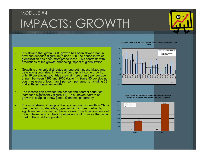## MODULE #4IMPACTS: GROWTH

• It is striking that global GDP growth has been slower than in previous decades (figure 10) since 1990, the period in which globalization has been most pronounced. This contrasts with predictions of the growth-enhancing impact of globalization.

•

•

- Growth is unevenly distributed among both industrialized and developing countries. In terms of per capita income growth, only 16 developing countries grew at more than 3 per cent per annum between 1985 and 2000 (table 1). Some 55 developing countries grew at less than 2 per cent per annum, including 23 that suffered negative growth.
- • The income gap between the richest and poorest countries increased significantly (figure 11). This uneven pattern of growth is shaping a new global economic geography.
- • The most striking change is the rapid economic growth in China over the last two decades, together with a more gradual but significant improvement in the economic growth performance of India. These two countries together account for more than onethird of the world's population.

**Figure 10: World GDP per capita growth, 1961-2003 (annual change in per cent)**



**Figure 11: GDP per capita in the poorest and the richest countries, 1960-62 and 2000-02 (in constant 1995 US\$, simple averages)**

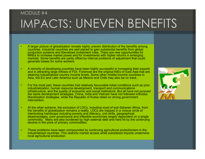## MODULE #4IMPACTS: UNEVEN BENEFITS

- • A larger picture of globalization reveals highly uneven distribution of the benefits among countries. Industrial countries are well placed to gain substantial benefits from global production systems and liberalized investment rules. There are new opportunities for MNEs to increase market power and for investments with higher returns in emerging markets. Some benefits are partly offset by internal problems of adjustment that could generate losses for some workers.
- • A minority of developing countries have been highly successful in increasing their exports and in attracting large inflows of FDI. Foremost are the original NIEs of East Asia that are attaining industrialized country income levels. Some other middle-income countries in Asia, the EU and Latin America such as Mexico and Chile may also be on track.
- • For the most part, these countries had relatively favourable initial conditions such as prior industrialization, human resource development, transport and communications infrastructure, and the quality of economic and social institutions. But all have not pursued the same development strategies. China, India and Vietnam have not followed orthodox liberalization strategies, while the Republic of Korea relied on strong government intervention.
- • At the other extreme, the exclusion of LDCs, including most of sub-Saharan Africa, from the benefits of globalization remains a reality. LDCs are trapped in a vicious circle of interlocking handicaps including poverty and illiteracy, civil strife, geographical disadvantages, poor governance and inflexible economies largely dependent on a single commodity. Many are also burdened by high external debt and hard hit by the continuing decline in the price of primary commodities.
- • These problems have been compounded by continuing agricultural protectionism in the industrialized countries. This restricts market access while subsidized imports undermine local agricultural production.

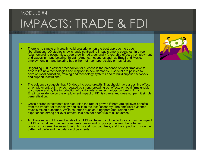## MODULE #4IMPACTS: TRADE & FDI

- • There is no simple universally valid prescription on the best approach to trade liberalization. ILO studies show sharply contrasting impacts among countries. In three Asian emerging economies, trade growth had a generally favourable effect on employment and wages in manufacturing. In Latin American countries such as Brazil and Mexico, employment in manufacturing has either not risen appreciably or has fallen.
- • Regarding FDI, a critical precondition for success is the presence of local firms able to absorb the new technologies and respond to new demands. Also vital are policies to develop local education, training and technology systems and to build supplier networks and support institutions.
- • The evidence suggests that FDI does increase growth. That should have a positive effect on employment, but may be negated by strong crowding-out effects on local firms unable to compete and by the introduction of capital-intensive technology by foreign firms. Empirical evidence on the employment impact of FDI is sparse and does not permit simple generalization.
- • Cross-border investments can also raise the rate of growth if there are spillover benefits from the transfer of technology and skills to the local economy. The empirical evidence reveals mixed outcomes. While countries such as Singapore and Ireland have experienced strong spillover effects, this has not been true of all countries.
- • A full evaluation of the net benefits from FDI will have to include factors such as the impact of FDI on small and medium sized enterprises and on poor producers; the potential conflicts of interest between foreign firms and host countries; and the impact of FDI on the pattern of trade and the balance of payments.

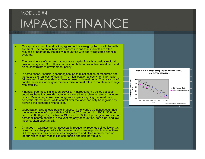## MODULE #4IMPACTS: FINANCE

- • On capital account liberalization, agreement is emerging that growth benefits are small. The potential benefits of access to financial markets are often reduced or negated by instability in countries with poorly regulated financial systems.
- • The prominence of short-term speculative capital flows is a basic structural flaw in the system. Such flows do not contribute to productive investment and place constraints to development policy.
- • In some cases, financial openness has led to misallocation of resources and increased the real cost of capital. The misallocation arises when information failures lead foreign lenders to finance unsound investments. The real cost of capital increases when governments raise interest rates to maintain exchange rate stability.
- Financial openness limits countercyclical macroeconomic policy because countries have to surrender autonomy over either exchange rate or monetary policy. Maintaining a fixed exchange rate implies forgoing the freedom to fix domestic interest rates, while control over the latter can only be regained by allowing the exchange rate to float.

•

•

•

- Globalization also affects public finances. In the world's 30 richest countries the average level of corporate tax fell from 37.6 per cent in 1996 to 30.8 per cent in 2003 (figure12). Between 1986 and 1998, the top marginal tax rate on personal income declined in the vast majority of countries, both high- and lowincome, often substantially.
- Changes in tax rates do not necessarily reduce tax revenues since lower tax rates can also help to reduce tax evasion and increase production incentives. But tax systems may become less progressive and place more burden on labour, which is not mobile like companies and rich individuals.

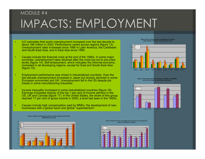## MODULE #4IMPACTS: EMPLOYMENT

- • ILO estimates that world unemployment increased over the last decade to about 188 million in 2003. Performance varied across regions (figure 13). Unemployment rates increased since 1990 in Latin America, the Caribbean and South-East Asia, and in East Asia since 1995.
- • Causes include the financial crisis at the end of the 1990s. In some major countries, unemployment rates declined after the crisis but not to pre-crisis levels (figure 14). Self-employment, which indicates the informal economy, increased in all developing regions, except for East and South-East Asia (figure 15).
- • Employment performance was mixed in industrialized countries. Over the last decade unemployment increased in Japan but sharply declined in some European economies and UK. Unemployment fell in the US despite job losses in some manufacturing industries.
- • Income inequality increased in some industrialized countries (figure 16). Earnings increased sharply of the top 1 per cent of income earners in the US, UK and Canada (figure 17). In the United States, the share of this group reached 17 per cent of gross income in 2000, a level last seen in the 1920s.
- • Causes include high compensation paid by MNEs, the development of new businesses with a global reach and global "superstardom".

**Figure 14: Pre- and post-crisis unemployment in selected Latin American and Asian Countries (in per cent)**







**Figure 13: Open unemployment rates for various regions of the world, 1990-2002 (in per cent)**



**Figure 16: Ratio of the 10 per cent highest paid over the 10 per cent lowest paid workers, mid-1980s and mid-1990s**

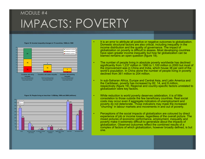## MODULE #4IMPACTS: POVERTY

•

•

•

•

•

#### **Figure 18: Income inequality changes in 73 countries, 1960s to 1990**



#### **Figure 19: People living on less than 1 US\$/day, 1990 and 2000 (millions)**



- It is an error to attribute all positive or negative outcomes to globalization. Domestic structural factors are also critical, including inequality in the income distribution and the quality of governance. The impact of globalization on poverty is difficult to assess. Most developing countries have seen greater income inequality but how far globalization can be blamed remains an open question (figure 18).
- The number of people living in absolute poverty worldwide has declined significantly from 1,237 million in 1990 to 1,100 million in 2000 but most of the improvement was in China and India, which house 38 per cent of the world's population. In China alone the number of people living in poverty declined from 361 million to 204 million.
- In sub-Saharan Africa, Europe and Central Asia, and Latin America and the Caribbean, poverty has increased by 82, 14, and 8 million, respectively (figure 19). Regional and country-specific factors unrelated to globalization were key factors.
- While reduction is world poverty deserves celebration, it is of little consolation to those outside the few beneficiary countries. Real social costs may occur even if aggregate indicators of unemployment and poverty do not deteriorate. Those indicators may mask the increased "churning" in labour markets and movements in and out of poverty.
- Perceptions of the social impacts of globalization are coloured by direct experience of job or income losses, regardless of the overall picture. The mixed pictures of economic performance, employment, inequality and poverty make it extremely difficult to generalize about the impacts of globalization. Observed outcomes reflect the combined results of <sup>a</sup> complex of factors of which globalization, however broadly defined, is but one.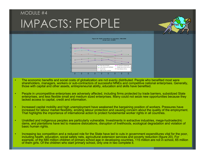## MODULE #4IMPACTS: PEOPLE





- • The economic benefits and social costs of globalization are not evenly distributed. People who benefited most were shareholders, managers, workers or sub-contractors of successful MNEs and competitive national enterprises. Generally, those with capital and other assets, entrepreneurial ability, education and skills have benefited.
- • People in uncompetitive enterprises are adversely affected, including firms protected by trade barriers, subsidized State enterprises, and less flexible small and medium sized enterprises. Many could not seize new opportunities because they lacked access to capital, credit and information.
- • Increased capital mobility and high unemployment have weakened the bargaining position of workers. Pressures have increased for labour market flexibility, eroding labour protection and causing concern about the quality of the employment. That highlights the importance of international action to protect fundamental worker rights in all countries.
- • Unskilled and indigenous peoples are particularly vulnerable. Investments in extractive industries, mega-hydroelectric dams, and plantations have led to massive dislocations, disruption of livelihoods, ecological degradation and violation of basic human rights.
- • Increasing tax competition and a reduced role for the State have led to cuts in government expenditures vital for the poor, including health, education, social safety nets, agricultural extension services and poverty reduction (figure 20). For example, of the 680 million children of primary school age in developing countries, 115 million are not in school, 65 million of them girls. Of the children who start primary school, only one in two complete it.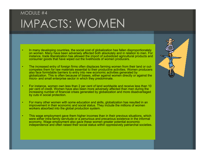## MODULE #4IMPACTS: WOMEN

- • In many developing countries, the social cost of globalization has fallen disproportionately on women. Many have been adversely affected both absolutely and in relation to men. For instance, trade liberalization has allowed the import of subsidized agricultural products and consumer goods that have wiped out the livelihoods of women producers.
- • The increased entry of foreign firms often displaces farming women from their land or outcompetes them for raw materials essential to their productive activities. Women producers also face formidable barriers to entry into new economic activities generated by globalization. This is often because of biases, either against women directly or against the micro- and small enterprise sector in which they predominate.
- • For instance, women own less than 2 per cent of land worldwide and receive less than 10 per cent of credit. Women have also been more adversely affected than men during the increasing number of financial crises generated by globalization and more disadvantaged by cuts in social protection.
- For many other women with some education and skills, globalization has resulted in an improvement in their economic and social status. They include the millions of women workers absorbed into the global production system.

•

• This wage employment gave them higher incomes than in their previous situations, which were either intra-family servitude or a penurious and precarious existence in the informal economy. Wage employment also gave these women greater potential economic independence and often raised their social status within oppressively patriarchal societies.

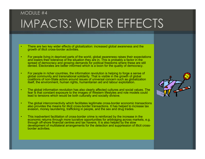## MODULE #4IMPACTS: WIDER EFFECTS

- • There are two key wider effects of globalization: increased global awareness and the growth of illicit cross-border activities.
- • For people living in deprived parts of the world, global awareness raises their expectations and lowers their tolerance of the situation they are in. This is probably a factor in the spread of democracy and growing demands for political freedoms where these are still denied. Electorates are better informed which is a boon for the quality of democracy.
- • For people in richer countries, the information revolution is helping to forge a sense of global community and transnational solidarity. That is visible in the growth of global coalitions of non-State actors around issues of universal concern such as globalization itself, the environment, human rights, humanitarian aid and labour exploitation.
- • The global information revolution has also clearly affected cultures and social values. The fear is that constant exposure to the images of Western lifestyles and role models could lead to tensions which would be both culturally and socially divisive.
- • The global interconnectivity which facilitates legitimate cross-border economic transactions also provides the means for illicit cross-border transactions. It has helped to increase tax evasion, money laundering, trafficking in people, and the sex and drug trades.
- • This inadvertent facilitation of cross-border crime is reinforced by the increase in the economic returns through more lucrative opportunities for arbitraging across markets, e.g. through off-shore financial centres and tax havens. It is also helped by the slow development of multilateral arrangements for the detection and suppression of illicit crossborder activities.